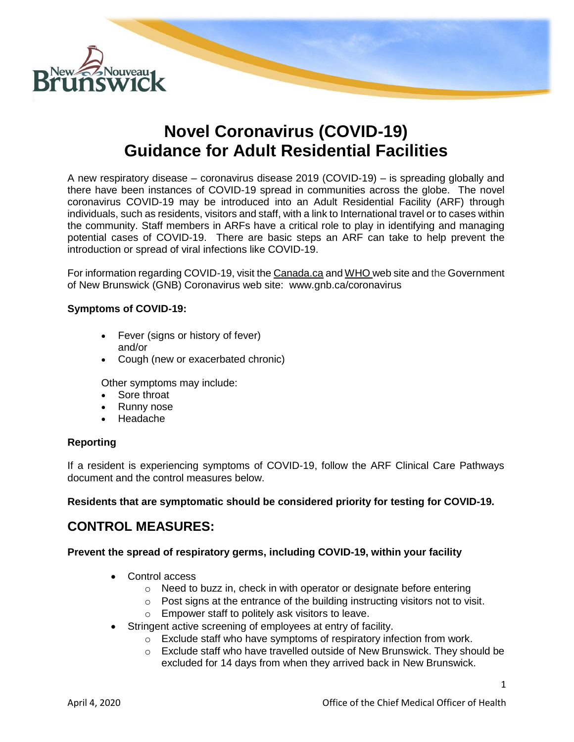

# **Novel Coronavirus (COVID-19) Guidance for Adult Residential Facilities**

A new respiratory disease – coronavirus disease 2019 (COVID-19) – is spreading globally and there have been instances of COVID-19 spread in communities across the globe. The novel coronavirus COVID-19 may be introduced into an Adult Residential Facility (ARF) through individuals, such as residents, visitors and staff, with a link to International travel or to cases within the community. Staff members in ARFs have a critical role to play in identifying and managing potential cases of COVID-19. There are basic steps an ARF can take to help prevent the introduction or spread of viral infections like COVID-19.

For information regarding COVID-19, visit th[e Canada.ca](https://www.canada.ca/en/public-health/services/diseases/2019-novel-coronavirus-infection.html) and [WHO w](https://www.who.int/emergencies/diseases/novel-coronavirus-2019)eb site and the Government of New Brunswick (GNB) Coronavirus web site: [www.gnb.ca/coronavirus](http://www.gnb.ca/coronavirus)

## **Symptoms of COVID-19:**

- Fever (signs or history of fever) and/or
- Cough (new or exacerbated chronic)

Other symptoms may include:

- Sore throat
- Runny nose
- Headache

# **Reporting**

If a resident is experiencing symptoms of COVID-19, follow the ARF Clinical Care Pathways document and the control measures below.

**Residents that are symptomatic should be considered priority for testing for COVID-19.**

# **CONTROL MEASURES:**

# **Prevent the spread of respiratory germs, including COVID-19, within your facility**

- Control access
	- o Need to buzz in, check in with operator or designate before entering
	- $\circ$  Post signs at the entrance of the building instructing visitors not to visit.
	- o Empower staff to politely ask visitors to leave.
- Stringent active screening of employees at entry of facility.
	- o Exclude staff who have symptoms of respiratory infection from work.
	- $\circ$  Exclude staff who have travelled outside of New Brunswick. They should be excluded for 14 days from when they arrived back in New Brunswick.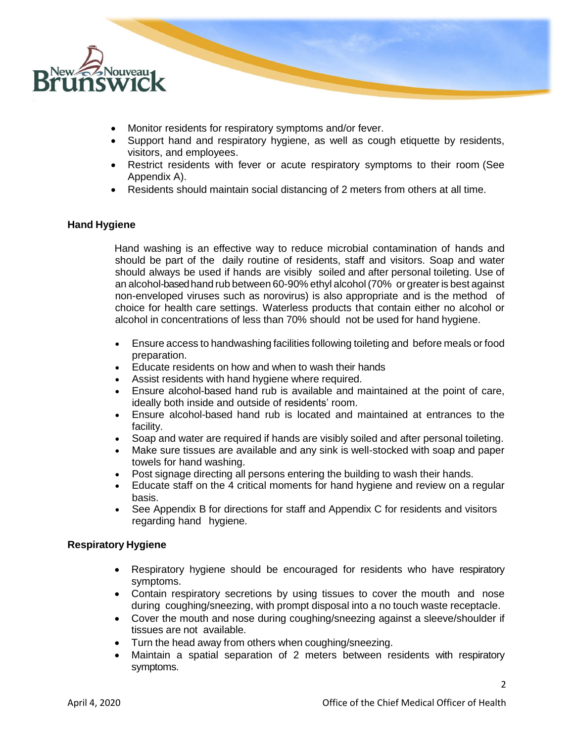

- Monitor residents for respiratory symptoms and/or fever.
- Support hand and respiratory hygiene, as well as cough etiquette by residents, visitors, and employees.
- Restrict residents with fever or acute respiratory symptoms to their room (See Appendix A).
- Residents should maintain social distancing of 2 meters from others at all time.

#### **Hand Hygiene**

Hand washing is an effective way to reduce microbial contamination of hands and should be part of the daily routine of residents, staff and visitors. Soap and water should always be used if hands are visibly soiled and after personal toileting. Use of an alcohol-basedhand rub between 60-90% ethyl alcohol(70% or greater is best against non-enveloped viruses such as norovirus) is also appropriate and is the method of choice for health care settings. Waterless products that contain either no alcohol or alcohol in concentrations of less than 70% should not be used for hand hygiene.

- Ensure access to handwashing facilities following toileting and before meals or food preparation.
- Educate residents on how and when to wash their hands
- Assist residents with hand hygiene where required.
- Ensure alcohol-based hand rub is available and maintained at the point of care, ideally both inside and outside of residents' room.
- Ensure alcohol-based hand rub is located and maintained at entrances to the facility.
- Soap and water are required if hands are visibly soiled and after personal toileting.
- Make sure tissues are available and any sink is well-stocked with soap and paper towels for hand washing.
- Post signage directing all persons entering the building to wash their hands.
- Educate staff on the 4 critical moments for hand hygiene and review on a regular basis.
- See Appendix B for directions for staff and Appendix C for residents and visitors regarding hand hygiene.

# **Respiratory Hygiene**

- Respiratory hygiene should be encouraged for residents who have respiratory symptoms.
- Contain respiratory secretions by using tissues to cover the mouth and nose during coughing/sneezing, with prompt disposal into a no touch waste receptacle.
- Cover the mouth and nose during coughing/sneezing against a sleeve/shoulder if tissues are not available.
- Turn the head away from others when coughing/sneezing.
- Maintain a spatial separation of 2 meters between residents with respiratory symptoms.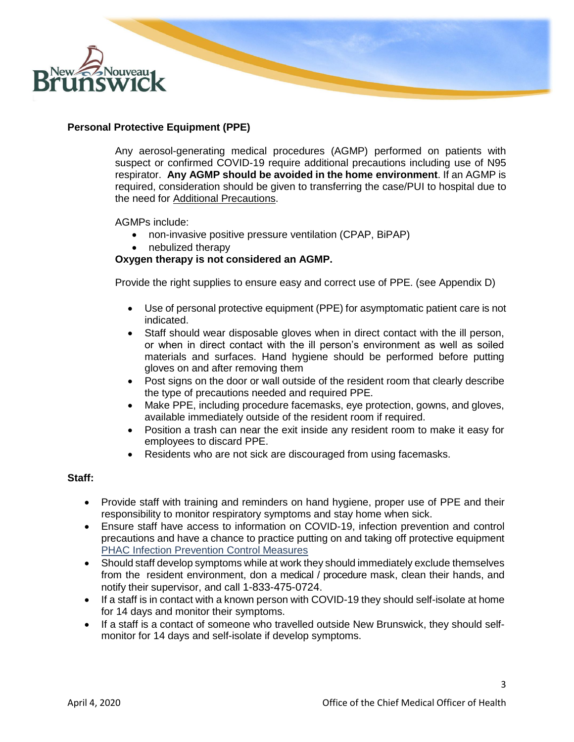

# **Personal Protective Equipment (PPE)**

Any aerosol-generating medical procedures (AGMP) performed on patients with suspect or confirmed COVID-19 require additional precautions including use of N95 respirator. **Any AGMP should be avoided in the home environment**. If an AGMP is required, consideration should be given to transferring the case/PUI to hospital due to the need for [Additional Precautions.](https://www.canada.ca/en/public-health/services/publications/diseases-conditions/routine-practices-precautions-healthcare-associated-infections.html)

AGMPs include:

- non-invasive positive pressure ventilation (CPAP, BiPAP)
- nebulized therapy

## **Oxygen therapy is not considered an AGMP.**

Provide the right supplies to ensure easy and correct use of PPE. (see Appendix D)

- Use of personal protective equipment (PPE) for asymptomatic patient care is not indicated.
- Staff should wear disposable gloves when in direct contact with the ill person, or when in direct contact with the ill person's environment as well as soiled materials and surfaces. Hand hygiene should be performed before putting gloves on and after removing them
- Post signs on the door or wall outside of the resident room that clearly describe the type of precautions needed and required PPE.
- Make PPE, including procedure facemasks, eye protection, gowns, and gloves, available immediately outside of the resident room if required.
- Position a trash can near the exit inside any resident room to make it easy for employees to discard PPE.
- Residents who are not sick are discouraged from using facemasks.

#### **Staff:**

- Provide staff with training and reminders on hand hygiene, proper use of PPE and their responsibility to monitor respiratory symptoms and stay home when sick.
- Ensure staff have access to information on COVID-19, infection prevention and control precautions and have a chance to practice putting on and taking off protective equipment [PHAC Infection Prevention](https://www.canada.ca/en/public-health/services/publications/diseases-conditions/routine-practices-precautions-healthcare-associated-infections.html) Control Measures
- Should staff develop symptoms while at work they should immediately exclude themselves from the resident environment, don a medical / procedure mask, clean their hands, and notify their supervisor, and call 1-833-475-0724.
- If a staff is in contact with a known person with COVID-19 they should self-isolate at home for 14 days and monitor their symptoms.
- If a staff is a contact of someone who travelled outside New Brunswick, they should selfmonitor for 14 days and self-isolate if develop symptoms.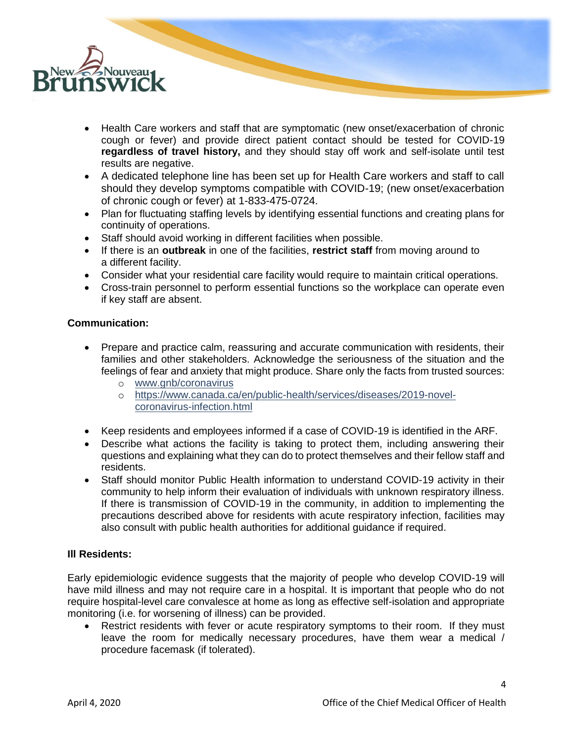

- Health Care workers and staff that are symptomatic (new onset/exacerbation of chronic cough or fever) and provide direct patient contact should be tested for COVID-19 **regardless of travel history,** and they should stay off work and self-isolate until test results are negative.
- A dedicated telephone line has been set up for Health Care workers and staff to call should they develop symptoms compatible with COVID-19; (new onset/exacerbation of chronic cough or fever) at 1-833-475-0724.
- Plan for fluctuating staffing levels by identifying essential functions and creating plans for continuity of operations.
- Staff should avoid working in different facilities when possible.
- If there is an **outbreak** in one of the facilities, **restrict staff** from moving around to a different facility.
- Consider what your residential care facility would require to maintain critical operations.
- Cross-train personnel to perform essential functions so the workplace can operate even if key staff are absent.

## **Communication:**

- Prepare and practice calm, reassuring and accurate communication with residents, their families and other stakeholders. Acknowledge the seriousness of the situation and the feelings of fear and anxiety that might produce. Share only the facts from trusted sources:
	- o [www.gnb/coronavirus](http://www.gnb/coronavirus)
	- o [https://www.canada.ca/en/public-health/services/diseases/2019-novel](https://www.canada.ca/en/public-health/services/diseases/2019-novel-coronavirus-infection.html)[coronavirus-infection.html](https://www.canada.ca/en/public-health/services/diseases/2019-novel-coronavirus-infection.html)
- Keep residents and employees informed if a case of COVID-19 is identified in the ARF.
- Describe what actions the facility is taking to protect them, including answering their questions and explaining what they can do to protect themselves and their fellow staff and residents.
- Staff should monitor Public Health information to understand COVID-19 activity in their community to help inform their evaluation of individuals with unknown respiratory illness. If there is transmission of COVID-19 in the community, in addition to implementing the precautions described above for residents with acute respiratory infection, facilities may also consult with public health authorities for additional guidance if required.

#### **Ill Residents:**

Early epidemiologic evidence suggests that the majority of people who develop COVID-19 will have mild illness and may not require care in a hospital. It is important that people who do not require hospital-level care convalesce at home as long as effective self-isolation and appropriate monitoring (i.e. for worsening of illness) can be provided.

Restrict residents with fever or acute respiratory symptoms to their room. If they must leave the room for medically necessary procedures, have them wear a medical / procedure facemask (if tolerated).

4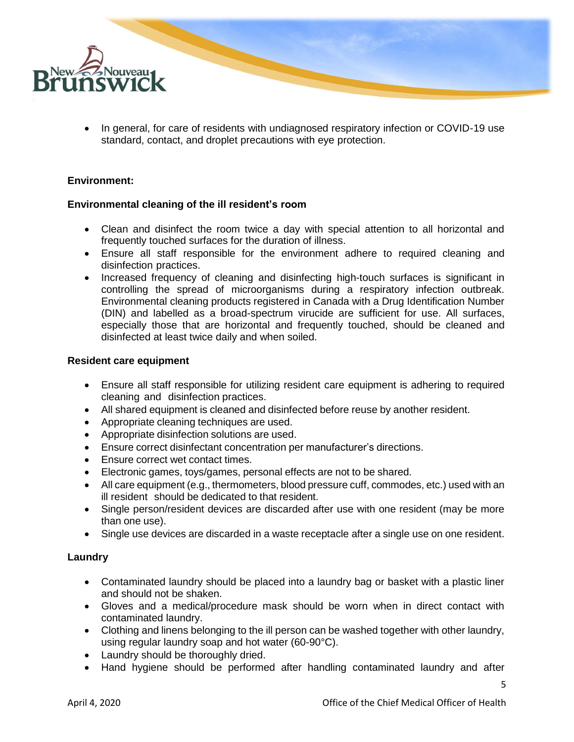

• In general, for care of residents with undiagnosed respiratory infection or COVID-19 use standard, contact, and droplet precautions with eye protection.

## **Environment:**

#### **Environmental cleaning of the ill resident's room**

- Clean and disinfect the room twice a day with special attention to all horizontal and frequently touched surfaces for the duration of illness.
- Ensure all staff responsible for the environment adhere to required cleaning and disinfection practices.
- Increased frequency of cleaning and disinfecting high-touch surfaces is significant in controlling the spread of microorganisms during a respiratory infection outbreak. Environmental cleaning products registered in Canada with a Drug Identification Number (DIN) and labelled as a broad-spectrum virucide are sufficient for use. All surfaces, especially those that are horizontal and frequently touched, should be cleaned and disinfected at least twice daily and when soiled.

#### **Resident care equipment**

- Ensure all staff responsible for utilizing resident care equipment is adhering to required cleaning and disinfection practices.
- All shared equipment is cleaned and disinfected before reuse by another resident.
- Appropriate cleaning techniques are used.
- Appropriate disinfection solutions are used.
- Ensure correct disinfectant concentration per manufacturer's directions.
- Ensure correct wet contact times.
- Electronic games, toys/games, personal effects are not to be shared.
- All care equipment (e.g., thermometers, blood pressure cuff, commodes, etc.) used with an ill resident should be dedicated to that resident.
- Single person/resident devices are discarded after use with one resident (may be more than one use).
- Single use devices are discarded in a waste receptacle after a single use on one resident.

#### **Laundry**

- Contaminated laundry should be placed into a laundry bag or basket with a plastic liner and should not be shaken.
- Gloves and a medical/procedure mask should be worn when in direct contact with contaminated laundry.
- Clothing and linens belonging to the ill person can be washed together with other laundry, using regular laundry soap and hot water (60-90°C).
- Laundry should be thoroughly dried.
- Hand hygiene should be performed after handling contaminated laundry and after

5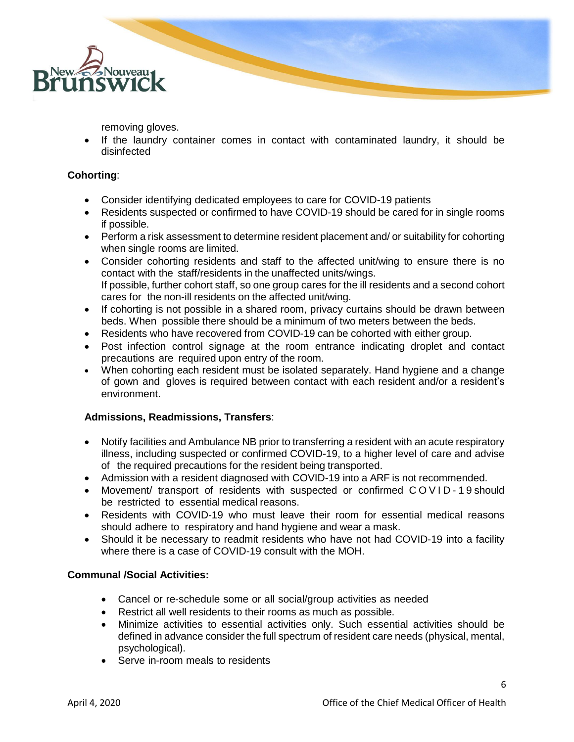

removing gloves.

• If the laundry container comes in contact with contaminated laundry, it should be disinfected

# **Cohorting**:

- Consider identifying dedicated employees to care for COVID-19 patients
- Residents suspected or confirmed to have COVID-19 should be cared for in single rooms if possible.
- Perform a risk assessment to determine resident placement and/ or suitability for cohorting when single rooms are limited.
- Consider cohorting residents and staff to the affected unit/wing to ensure there is no contact with the staff/residents in the unaffected units/wings. If possible, further cohort staff, so one group cares for the ill residents and a second cohort cares for the non-ill residents on the affected unit/wing.
- If cohorting is not possible in a shared room, privacy curtains should be drawn between beds. When possible there should be a minimum of two meters between the beds.
- Residents who have recovered from COVID-19 can be cohorted with either group.
- Post infection control signage at the room entrance indicating droplet and contact precautions are required upon entry of the room.
- When cohorting each resident must be isolated separately. Hand hygiene and a change of gown and gloves is required between contact with each resident and/or a resident's environment.

# **Admissions, Readmissions, Transfers**:

- Notify facilities and Ambulance NB prior to transferring a resident with an acute respiratory illness, including suspected or confirmed COVID-19, to a higher level of care and advise of the required precautions for the resident being transported.
- Admission with a resident diagnosed with COVID-19 into a ARF is not recommended.
- Movement/ transport of residents with suspected or confirmed COVID-19 should be restricted to essential medical reasons.
- Residents with COVID-19 who must leave their room for essential medical reasons should adhere to respiratory and hand hygiene and wear a mask.
- Should it be necessary to readmit residents who have not had COVID-19 into a facility where there is a case of COVID-19 consult with the MOH.

#### **Communal /Social Activities:**

- Cancel or re-schedule some or all social/group activities as needed
- Restrict all well residents to their rooms as much as possible.
- Minimize activities to essential activities only. Such essential activities should be defined in advance consider the full spectrum of resident care needs (physical, mental, psychological).
- Serve in-room meals to residents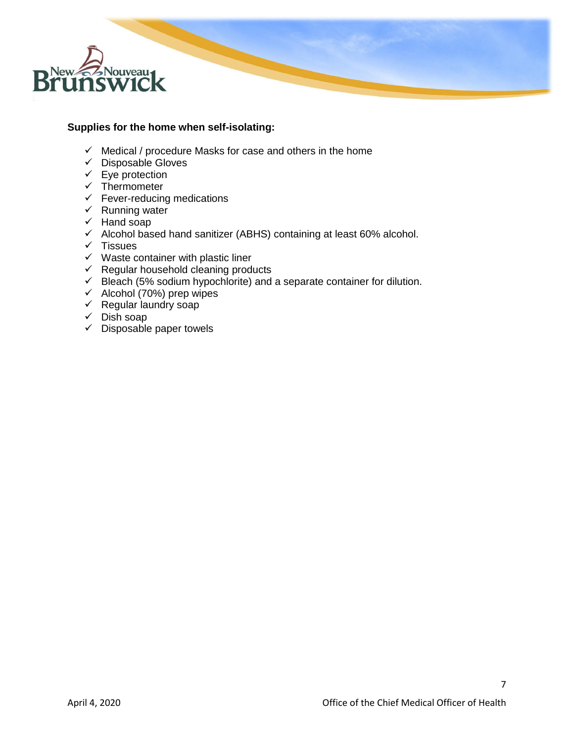

## **Supplies for the home when self-isolating:**

- $\checkmark$  Medical / procedure Masks for case and others in the home
- ✓ Disposable Gloves
- $\checkmark$  Eye protection
- $\checkmark$  Thermometer
- $\checkmark$  Fever-reducing medications
- ✓ Running water
- $\checkmark$  Hand soap
- ✓ Alcohol based hand sanitizer (ABHS) containing at least 60% alcohol.
- ✓ Tissues
- $\checkmark$  Waste container with plastic liner
- $\checkmark$  Regular household cleaning products
- $\checkmark$  Bleach (5% sodium hypochlorite) and a separate container for dilution.
- ✓ Alcohol (70%) prep wipes
- $\checkmark$  Regular laundry soap
- $\checkmark$  Dish soap
- $\checkmark$  Disposable paper towels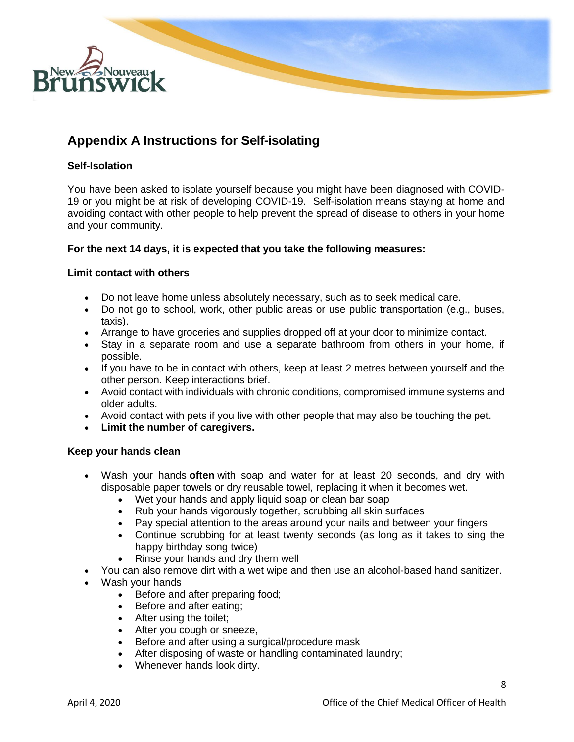

# **Appendix A Instructions for Self-isolating**

# **Self-Isolation**

You have been asked to isolate yourself because you might have been diagnosed with COVID-19 or you might be at risk of developing COVID-19. Self-isolation means staying at home and avoiding contact with other people to help prevent the spread of disease to others in your home and your community.

## **For the next 14 days, it is expected that you take the following measures:**

#### **Limit contact with others**

- Do not leave home unless absolutely necessary, such as to seek medical care.
- Do not go to school, work, other public areas or use public transportation (e.g., buses, taxis).
- Arrange to have groceries and supplies dropped off at your door to minimize contact.
- Stay in a separate room and use a separate bathroom from others in your home, if possible.
- If you have to be in contact with others, keep at least 2 metres between yourself and the other person. Keep interactions brief.
- Avoid contact with individuals with chronic conditions, compromised immune systems and older adults.
- Avoid contact with pets if you live with other people that may also be touching the pet.
- **Limit the number of caregivers.**

#### **Keep your hands clean**

- Wash your hands **often** with soap and water for at least 20 seconds, and dry with disposable paper towels or dry reusable towel, replacing it when it becomes wet.
	- Wet your hands and apply liquid soap or clean bar soap
	- Rub your hands vigorously together, scrubbing all skin surfaces
	- Pay special attention to the areas around your nails and between your fingers
	- Continue scrubbing for at least twenty seconds (as long as it takes to sing the happy birthday song twice)
	- Rinse your hands and dry them well
- You can also remove dirt with a wet wipe and then use an alcohol-based hand sanitizer.
- Wash your hands
	- Before and after preparing food;
	- Before and after eating;
	- After using the toilet;
	- After you cough or sneeze,
	- Before and after using a surgical/procedure mask
	- After disposing of waste or handling contaminated laundry;
	- Whenever hands look dirty.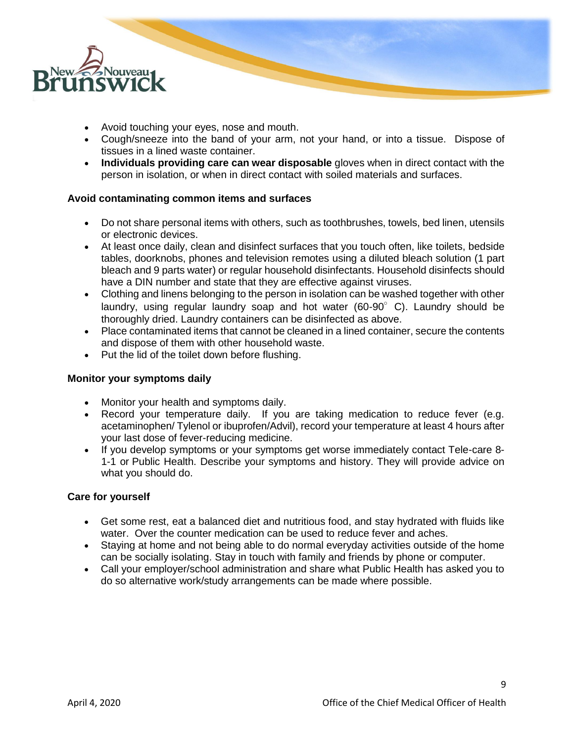

- Avoid touching your eyes, nose and mouth.
- Cough/sneeze into the band of your arm, not your hand, or into a tissue. Dispose of tissues in a lined waste container.
- **Individuals providing care can wear disposable** gloves when in direct contact with the person in isolation, or when in direct contact with soiled materials and surfaces.

## **Avoid contaminating common items and surfaces**

- Do not share personal items with others, such as toothbrushes, towels, bed linen, utensils or electronic devices.
- At least once daily, clean and disinfect surfaces that you touch often, like toilets, bedside tables, doorknobs, phones and television remotes using a diluted bleach solution (1 part bleach and 9 parts water) or regular household disinfectants. Household disinfects should have a DIN number and state that they are effective against viruses.
- Clothing and linens belonging to the person in isolation can be washed together with other laundry, using regular laundry soap and hot water (60-90 $^{\circ}$  C). Laundry should be thoroughly dried. Laundry containers can be disinfected as above.
- Place contaminated items that cannot be cleaned in a lined container, secure the contents and dispose of them with other household waste.
- Put the lid of the toilet down before flushing.

#### **Monitor your symptoms daily**

- Monitor your health and symptoms daily.
- Record your temperature daily. If you are taking medication to reduce fever (e.g. acetaminophen/ Tylenol or ibuprofen/Advil), record your temperature at least 4 hours after your last dose of fever-reducing medicine.
- If you develop symptoms or your symptoms get worse immediately contact Tele-care 8- 1-1 or Public Health. Describe your symptoms and history. They will provide advice on what you should do.

#### **Care for yourself**

- Get some rest, eat a balanced diet and nutritious food, and stay hydrated with fluids like water. Over the counter medication can be used to reduce fever and aches.
- Staying at home and not being able to do normal everyday activities outside of the home can be socially isolating. Stay in touch with family and friends by phone or computer.
- Call your employer/school administration and share what Public Health has asked you to do so alternative work/study arrangements can be made where possible.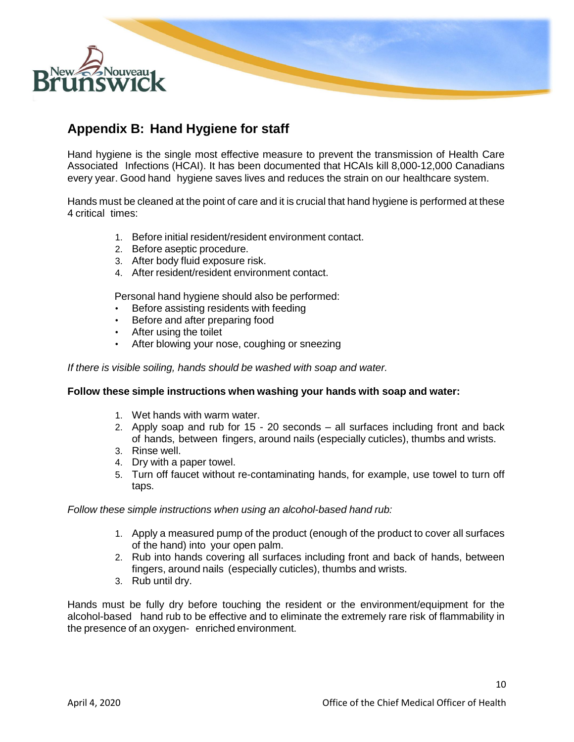

# **Appendix B: Hand Hygiene for staff**

Hand hygiene is the single most effective measure to prevent the transmission of Health Care Associated Infections (HCAI). It has been documented that HCAIs kill 8,000-12,000 Canadians every year. Good hand hygiene saves lives and reduces the strain on our healthcare system.

Hands must be cleaned at the point of care and it is crucial that hand hygiene is performed at these 4 critical times:

- 1. Before initial resident/resident environment contact.
- 2. Before aseptic procedure.
- 3. After body fluid exposure risk.
- 4. After resident/resident environment contact.

Personal hand hygiene should also be performed:

- Before assisting residents with feeding
- Before and after preparing food
- After using the toilet
- After blowing your nose, coughing or sneezing

*If there is visible soiling, hands should be washed with soap and water.*

#### **Follow these simple instructions when washing your hands with soap and water:**

- 1. Wet hands with warm water.
- 2. Apply soap and rub for 15 20 seconds all surfaces including front and back of hands, between fingers, around nails (especially cuticles), thumbs and wrists.
- 3. Rinse well.
- 4. Dry with a paper towel.
- 5. Turn off faucet without re-contaminating hands, for example, use towel to turn off taps.

*Follow these simple instructions when using an alcohol-based hand rub:*

- 1. Apply a measured pump of the product (enough of the product to cover all surfaces of the hand) into your open palm.
- 2. Rub into hands covering all surfaces including front and back of hands, between fingers, around nails (especially cuticles), thumbs and wrists.
- 3. Rub until dry.

Hands must be fully dry before touching the resident or the environment/equipment for the alcohol-based hand rub to be effective and to eliminate the extremely rare risk of flammability in the presence of an oxygen- enriched environment.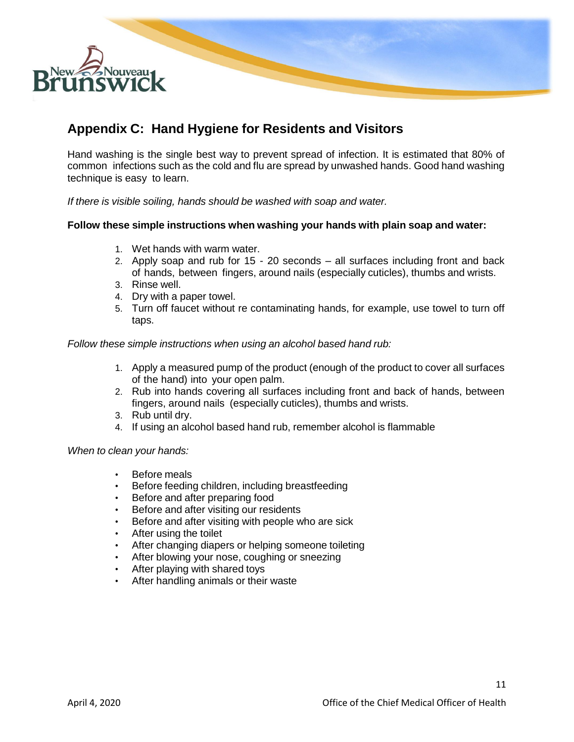

# **Appendix C: Hand Hygiene for Residents and Visitors**

Hand washing is the single best way to prevent spread of infection. It is estimated that 80% of common infections such as the cold and flu are spread by unwashed hands. Good hand washing technique is easy to learn.

*If there is visible soiling, hands should be washed with soap and water.*

#### **Follow these simple instructions when washing your hands with plain soap and water:**

- 1. Wet hands with warm water.
- 2. Apply soap and rub for 15 20 seconds all surfaces including front and back of hands, between fingers, around nails (especially cuticles), thumbs and wrists.
- 3. Rinse well.
- 4. Dry with a paper towel.
- 5. Turn off faucet without re contaminating hands, for example, use towel to turn off taps.

*Follow these simple instructions when using an alcohol based hand rub:*

- 1. Apply a measured pump of the product (enough of the product to cover all surfaces of the hand) into your open palm.
- 2. Rub into hands covering all surfaces including front and back of hands, between fingers, around nails (especially cuticles), thumbs and wrists.
- 3. Rub until dry.
- 4. If using an alcohol based hand rub, remember alcohol is flammable

*When to clean your hands:*

- Before meals
- Before feeding children, including breastfeeding
- Before and after preparing food
- Before and after visiting our residents
- Before and after visiting with people who are sick
- After using the toilet
- After changing diapers or helping someone toileting
- After blowing your nose, coughing or sneezing
- After playing with shared toys
- After handling animals or their waste

11